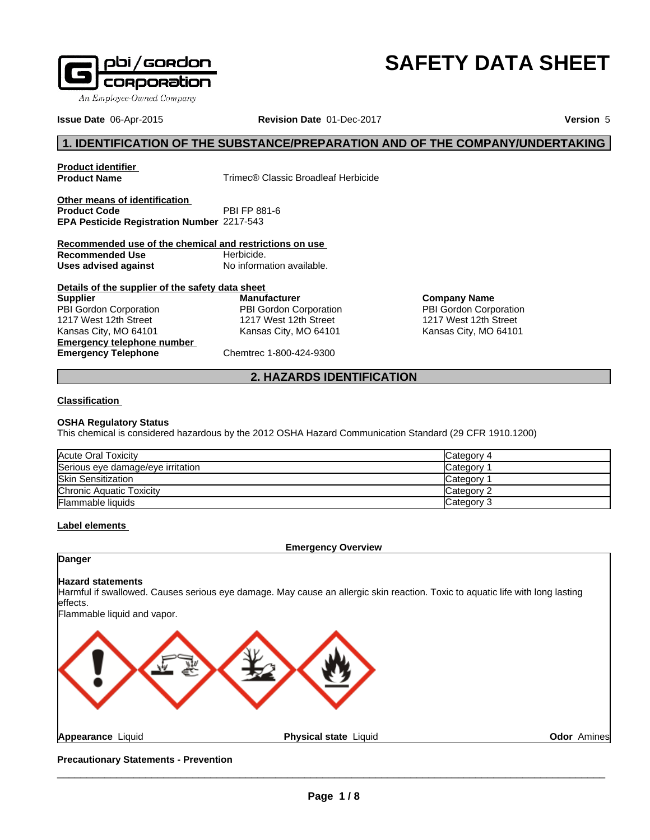

# **SAFETY DATA SHEET**

**Issue Date** 06-Apr-2015 **Revision Date** 01-Dec-2017 **Version** 5

# **1. IDENTIFICATION OF THE SUBSTANCE/PREPARATION AND OF THE COMPANY/UNDERTAKING**

**Product identifier**

**Trimec® Classic Broadleaf Herbicide** 

**Other means of identification**<br>**Product Code** PBI FP 881-6 **Product Code EPA Pesticide Registration Number** 2217-543

**Recommended use of the chemical and restrictions on use Recommended Use** Herbicide. **Uses advised against** No information available.

**Details of the supplier of the safety data sheet Emergency telephone number Emergency Telephone** Chemtrec 1-800-424-9300 **Supplier** PBI Gordon Corporation 1217 West 12th Street Kansas City, MO 64101

**Manufacturer** PBI Gordon Corporation 1217 West 12th Street Kansas City, MO 64101

**Company Name** PBI Gordon Corporation 1217 West 12th Street Kansas City, MO 64101

# **2. HAZARDS IDENTIFICATION**

#### **Classification**

#### **OSHA Regulatory Status**

This chemical is considered hazardous by the 2012 OSHA Hazard Communication Standard (29 CFR 1910.1200)

| Acute Oral Toxicity               | Category 4 |
|-----------------------------------|------------|
| Serious eye damage/eye irritation | Category   |
| <b>Skin Sensitization</b>         | Category   |
| Chronic Aquatic Toxicity          | Category 2 |
| <b>Flammable liquids</b>          | Category 3 |

#### **Label elements**

**Emergency Overview**

# **Danger**

#### **Hazard statements**

Harmful if swallowed. Causes serious eye damage. May cause an allergic skin reaction. Toxic to aquatic life with long lasting effects.

Flammable liquid and vapor.



**Appearance** Liquid **Physical state** Liquid

**Odor** Amines

**Precautionary Statements - Prevention**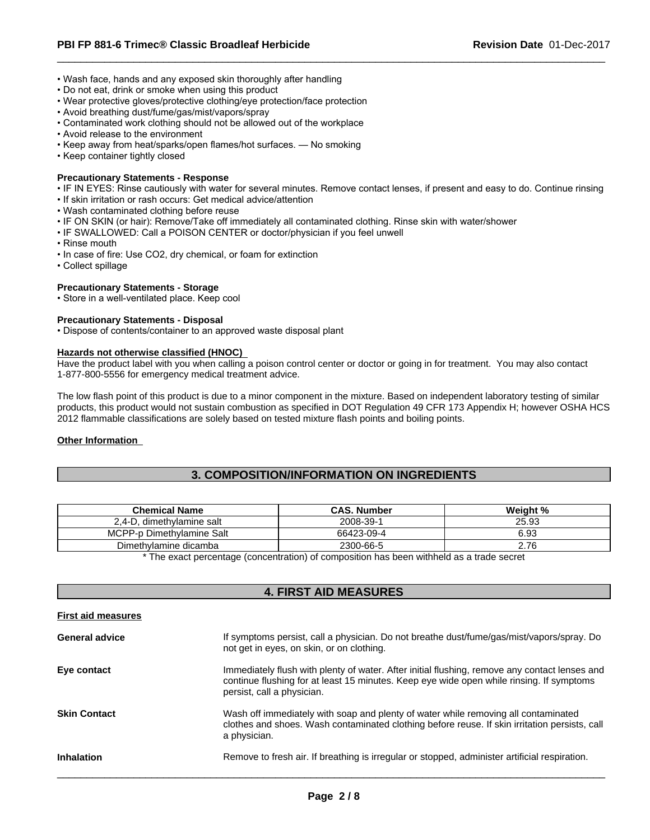- Wash face, hands and any exposed skin thoroughly after handling
- Do not eat, drink or smoke when using this product
- Wear protective gloves/protective clothing/eye protection/face protection
- Avoid breathing dust/fume/gas/mist/vapors/spray
- Contaminated work clothing should not be allowed out of the workplace
- Avoid release to the environment
- Keep away from heat/sparks/open flames/hot surfaces. No smoking
- Keep container tightly closed

#### **Precautionary Statements - Response**

- IF IN EYES: Rinse cautiously with water for several minutes. Remove contact lenses, if present and easy to do. Continue rinsing
- If skin irritation or rash occurs: Get medical advice/attention
- Wash contaminated clothing before reuse
- IF ON SKIN (or hair): Remove/Take off immediately all contaminated clothing. Rinse skin with water/shower
- IF SWALLOWED: Call a POISON CENTER or doctor/physician if you feel unwell
- Rinse mouth
- In case of fire: Use CO2, dry chemical, or foam for extinction
- Collect spillage

#### **Precautionary Statements - Storage**

• Store in a well-ventilated place. Keep cool

#### **Precautionary Statements - Disposal**

• Dispose of contents/container to an approved waste disposal plant

#### **Hazards not otherwise classified (HNOC)**

Have the product label with you when calling a poison control center or doctor or going in for treatment. You may also contact 1-877-800-5556 for emergency medical treatment advice.

The low flash point of this product is due to a minor component in the mixture. Based on independent laboratory testing of similar products, this product would not sustain combustion as specified in DOT Regulation 49 CFR 173 Appendix H; however OSHA HCS 2012 flammable classifications are solely based on tested mixture flash points and boiling points.

#### **Other Information**

# **3. COMPOSITION/INFORMATION ON INGREDIENTS**

| <b>Chemical Name</b>                  | CAS.<br>. Number | Weight % |
|---------------------------------------|------------------|----------|
| 2.4-D<br>. dimethvlamine salt         | 2008-39-1        | 25.93    |
| <b>MCPP</b><br>P-p Dimethylamine Salt | 66423-09-4       | 6.93     |
| Dimethylamine dicamba                 | 2300-66-5        | 2.76     |

\* The exact percentage (concentration) of composition has been withheld as a trade secret

#### **4. FIRST AID MEASURES**

| <b>First aid measures</b> |                                                                                                                                                                                                                         |
|---------------------------|-------------------------------------------------------------------------------------------------------------------------------------------------------------------------------------------------------------------------|
| <b>General advice</b>     | If symptoms persist, call a physician. Do not breathe dust/fume/gas/mist/vapors/spray. Do<br>not get in eyes, on skin, or on clothing.                                                                                  |
| Eye contact               | Immediately flush with plenty of water. After initial flushing, remove any contact lenses and<br>continue flushing for at least 15 minutes. Keep eye wide open while rinsing. If symptoms<br>persist, call a physician. |
| <b>Skin Contact</b>       | Wash off immediately with soap and plenty of water while removing all contaminated<br>clothes and shoes. Wash contaminated clothing before reuse. If skin irritation persists, call<br>a physician.                     |
| <b>Inhalation</b>         | Remove to fresh air. If breathing is irregular or stopped, administer artificial respiration.                                                                                                                           |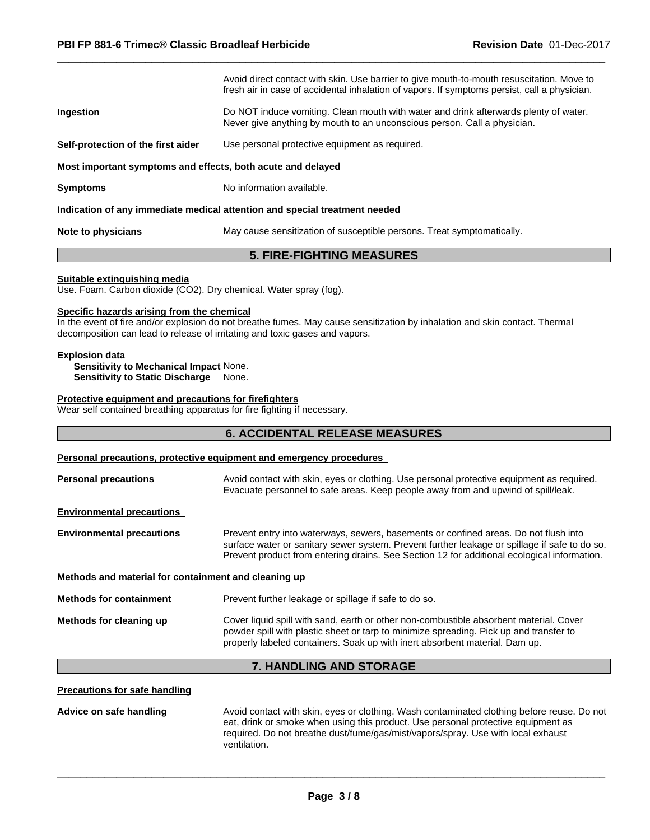|                                                             | Avoid direct contact with skin. Use barrier to give mouth-to-mouth resuscitation. Move to<br>fresh air in case of accidental inhalation of vapors. If symptoms persist, call a physician. |
|-------------------------------------------------------------|-------------------------------------------------------------------------------------------------------------------------------------------------------------------------------------------|
| Ingestion                                                   | Do NOT induce vomiting. Clean mouth with water and drink afterwards plenty of water.<br>Never give anything by mouth to an unconscious person. Call a physician.                          |
| Self-protection of the first aider                          | Use personal protective equipment as required.                                                                                                                                            |
| Most important symptoms and effects, both acute and delayed |                                                                                                                                                                                           |
| <b>Symptoms</b>                                             | No information available.                                                                                                                                                                 |
|                                                             | Indication of any immediate medical attention and special treatment needed                                                                                                                |
| Note to physicians                                          | May cause sensitization of susceptible persons. Treat symptomatically.                                                                                                                    |

#### **5. FIRE-FIGHTING MEASURES**

#### **Suitable extinguishing media**

Use. Foam. Carbon dioxide (CO2). Dry chemical. Water spray (fog).

#### **Specific hazards arising from the chemical**

In the event of fire and/or explosion do not breathe fumes. May cause sensitization by inhalation and skin contact. Thermal decomposition can lead to release of irritating and toxic gases and vapors.

#### **Explosion data**

**Sensitivity to Mechanical Impact** None. **Sensitivity to Static Discharge** None.

#### **Protective equipment and precautions for firefighters**

Wear self contained breathing apparatus for fire fighting if necessary.

# **6. ACCIDENTAL RELEASE MEASURES**

#### **Personal precautions, protective equipment and emergency procedures**

| <b>Personal precautions</b>                          | Avoid contact with skin, eyes or clothing. Use personal protective equipment as required.<br>Evacuate personnel to safe areas. Keep people away from and upwind of spill/leak.                                                                                                       |
|------------------------------------------------------|--------------------------------------------------------------------------------------------------------------------------------------------------------------------------------------------------------------------------------------------------------------------------------------|
| <b>Environmental precautions</b>                     |                                                                                                                                                                                                                                                                                      |
| <b>Environmental precautions</b>                     | Prevent entry into waterways, sewers, basements or confined areas. Do not flush into<br>surface water or sanitary sewer system. Prevent further leakage or spillage if safe to do so.<br>Prevent product from entering drains. See Section 12 for additional ecological information. |
| Methods and material for containment and cleaning up |                                                                                                                                                                                                                                                                                      |
| <b>Methods for containment</b>                       | Prevent further leakage or spillage if safe to do so.                                                                                                                                                                                                                                |
| Methods for cleaning up                              | Cover liquid spill with sand, earth or other non-combustible absorbent material. Cover<br>powder spill with plastic sheet or tarp to minimize spreading. Pick up and transfer to<br>properly labeled containers. Soak up with inert absorbent material. Dam up.                      |
|                                                      | <b>7. HANDLING AND STORAGE</b>                                                                                                                                                                                                                                                       |

**Advice on safe handling** Avoid contact with skin, eyes or clothing. Wash contaminated clothing before reuse. Do not eat, drink or smoke when using this product. Use personal protective equipment as required. Do not breathe dust/fume/gas/mist/vapors/spray. Use with local exhaust ventilation.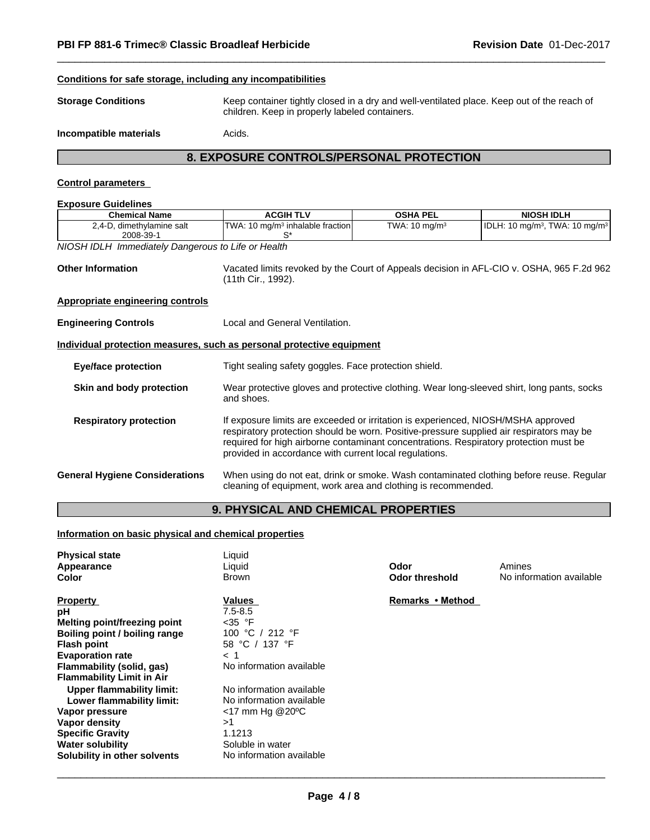#### **Conditions for safe storage, including any incompatibilities**

**Storage Conditions** Keep container tightly closed in a dry and well-ventilated place. Keep out of the reach of children. Keep in properly labeled containers.

**Incompatible materials Acids.** 

# **8. EXPOSURE CONTROLS/PERSONAL PROTECTION**

#### **Control parameters**

| <b>Exposure Guidelines</b>                                            |                                                                                                                                                                                                                                                                                                                                  |                          |                                                                                         |  |  |  |
|-----------------------------------------------------------------------|----------------------------------------------------------------------------------------------------------------------------------------------------------------------------------------------------------------------------------------------------------------------------------------------------------------------------------|--------------------------|-----------------------------------------------------------------------------------------|--|--|--|
| <b>Chemical Name</b>                                                  | <b>ACGIH TLV</b>                                                                                                                                                                                                                                                                                                                 | <b>OSHA PEL</b>          | <b>NIOSH IDLH</b>                                                                       |  |  |  |
| 2,4-D, dimethylamine salt<br>2008-39-1                                | TWA: 10 mg/m <sup>3</sup> inhalable fraction<br>`S                                                                                                                                                                                                                                                                               | TWA: $10 \text{ mg/m}^3$ | IDLH: 10 mg/m <sup>3</sup> , TWA: 10 mg/m <sup>3</sup>                                  |  |  |  |
| NIOSH IDLH Immediately Dangerous to Life or Health                    |                                                                                                                                                                                                                                                                                                                                  |                          |                                                                                         |  |  |  |
| <b>Other Information</b>                                              | Vacated limits revoked by the Court of Appeals decision in AFL-CIO v. OSHA, 965 F.2d 962<br>(11th Cir., 1992).                                                                                                                                                                                                                   |                          |                                                                                         |  |  |  |
| <b>Appropriate engineering controls</b>                               |                                                                                                                                                                                                                                                                                                                                  |                          |                                                                                         |  |  |  |
| <b>Engineering Controls</b>                                           | Local and General Ventilation.                                                                                                                                                                                                                                                                                                   |                          |                                                                                         |  |  |  |
| Individual protection measures, such as personal protective equipment |                                                                                                                                                                                                                                                                                                                                  |                          |                                                                                         |  |  |  |
| Eye/face protection                                                   | Tight sealing safety goggles. Face protection shield.                                                                                                                                                                                                                                                                            |                          |                                                                                         |  |  |  |
| Skin and body protection                                              | Wear protective gloves and protective clothing. Wear long-sleeved shirt, long pants, socks<br>and shoes.                                                                                                                                                                                                                         |                          |                                                                                         |  |  |  |
| <b>Respiratory protection</b>                                         | If exposure limits are exceeded or irritation is experienced, NIOSH/MSHA approved<br>respiratory protection should be worn. Positive-pressure supplied air respirators may be<br>required for high airborne contaminant concentrations. Respiratory protection must be<br>provided in accordance with current local regulations. |                          |                                                                                         |  |  |  |
| <b>General Hygiene Considerations</b>                                 | cleaning of equipment, work area and clothing is recommended.                                                                                                                                                                                                                                                                    |                          | When using do not eat, drink or smoke. Wash contaminated clothing before reuse. Regular |  |  |  |

# **9. PHYSICAL AND CHEMICAL PROPERTIES**

#### **Information on basic physical and chemical properties**

| <b>Physical state</b><br>Appearance<br>Color | Liquid<br>Liquid<br><b>Brown</b> | Odor<br>Odor threshold | Amines<br>No information available |
|----------------------------------------------|----------------------------------|------------------------|------------------------------------|
| <b>Property</b>                              | Values                           | Remarks • Method       |                                    |
| рH                                           | $7.5 - 8.5$                      |                        |                                    |
| Melting point/freezing point                 | $<$ 35 °F                        |                        |                                    |
| Boiling point / boiling range                | 100 °C / 212 °F                  |                        |                                    |
| <b>Flash point</b>                           | 58 °C / 137 °F                   |                        |                                    |
| <b>Evaporation rate</b>                      | < 1                              |                        |                                    |
| Flammability (solid, gas)                    | No information available         |                        |                                    |
| <b>Flammability Limit in Air</b>             |                                  |                        |                                    |
| Upper flammability limit:                    | No information available         |                        |                                    |
| Lower flammability limit:                    | No information available         |                        |                                    |
| Vapor pressure                               | <17 mm Hg @20°C                  |                        |                                    |
| Vapor density                                | >1                               |                        |                                    |
| <b>Specific Gravity</b>                      | 1.1213                           |                        |                                    |
| <b>Water solubility</b>                      | Soluble in water                 |                        |                                    |
| Solubility in other solvents                 | No information available         |                        |                                    |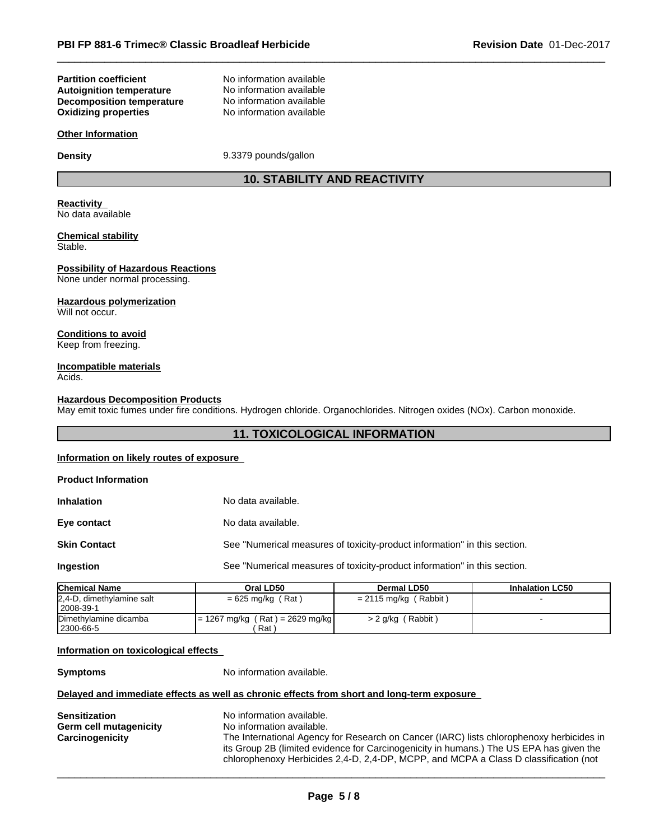#### **Partition coefficient**<br> **Autoignition temperature**<br>
No information available<br>
No information available **Autoignition temperature No information available**<br>**Decomposition temperature No information available Decomposition temperature Oxidizing properties** No information available

#### **Other Information**

**Density** 9.3379 pounds/gallon

# **10. STABILITY AND REACTIVITY**

#### **Reactivity** No data available

#### **Chemical stability** Stable.

# **Possibility of Hazardous Reactions**

None under normal processing.

#### **Hazardous polymerization**

Will not occur.

# **Conditions to avoid**

Keep from freezing.

#### **Incompatible materials** Acids.

#### **Hazardous Decomposition Products**

May emit toxic fumes under fire conditions. Hydrogen chloride. Organochlorides. Nitrogen oxides (NOx). Carbon monoxide.

# **11. TOXICOLOGICAL INFORMATION**

### **Information on likely routes of exposure**

| <b>Product Information</b> |                                                                           |
|----------------------------|---------------------------------------------------------------------------|
| <b>Inhalation</b>          | No data available.                                                        |
| Eye contact                | No data available.                                                        |
| <b>Skin Contact</b>        | See "Numerical measures of toxicity-product information" in this section. |
| Ingestion                  | See "Numerical measures of toxicity-product information" in this section. |
|                            |                                                                           |

| <b>Chemical Name</b>      | Oral LD50                         | Dermal LD50              | <b>Inhalation LC50</b> |
|---------------------------|-----------------------------------|--------------------------|------------------------|
| 2,4-D, dimethylamine salt | $= 625$ mg/kg (Rat)               | (Rabbit)<br>= 2115 mg/kg |                        |
| 2008-39-1                 |                                   |                          |                        |
| Dimethylamine dicamba     | $= 1267$ mg/kg (Rat) = 2629 mg/kg | $> 2$ g/kg (Rabbit)      |                        |
| ! 2300-66-5               | Rat )                             |                          |                        |

# **Information on toxicological effects**

**Symptoms** No information available.

# **Delayed and immediate effects as well as chronic effects from short and long-term exposure**

| <b>Sensitization</b>   | No information available.                                                                |
|------------------------|------------------------------------------------------------------------------------------|
|                        |                                                                                          |
| Germ cell mutagenicity | No information available.                                                                |
| Carcinogenicity        | The International Agency for Research on Cancer (IARC) lists chlorophenoxy herbicides in |
|                        | its Group 2B (limited evidence for Carcinogenicity in humans.) The US EPA has given the  |
|                        | chlorophenoxy Herbicides 2,4-D, 2,4-DP, MCPP, and MCPA a Class D classification (not     |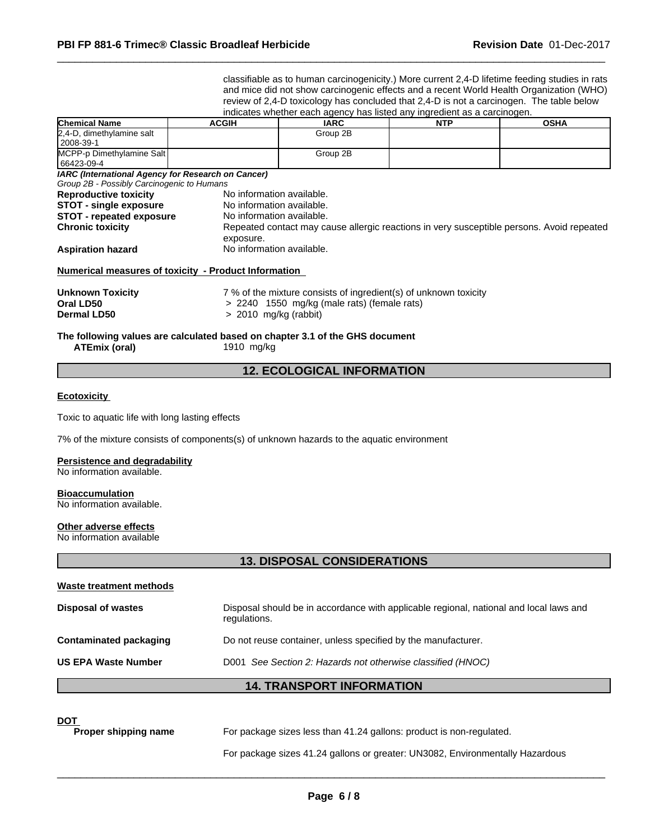classifiable as to human carcinogenicity.) More current 2,4-D lifetime feeding studies in rats and mice did not show carcinogenic effects and a recent World Health Organization (WHO) review of 2,4-D toxicology has concluded that 2,4-D is not a carcinogen. The table below indicates whether each agency has listed any ingredient as a carcinogen.

| <b>Chemical Name</b>                                                                                                        | <b>ACGIH</b>                                                                                     | IARC                                                             | <b>NTP</b> | <b>OSHA</b>                                                                               |  |
|-----------------------------------------------------------------------------------------------------------------------------|--------------------------------------------------------------------------------------------------|------------------------------------------------------------------|------------|-------------------------------------------------------------------------------------------|--|
| 2,4-D, dimethylamine salt<br>2008-39-1                                                                                      |                                                                                                  | Group 2B                                                         |            |                                                                                           |  |
| MCPP-p Dimethylamine Salt<br>66423-09-4                                                                                     |                                                                                                  | Group 2B                                                         |            |                                                                                           |  |
| IARC (International Agency for Research on Cancer)<br>Group 2B - Possibly Carcinogenic to Humans                            |                                                                                                  |                                                                  |            |                                                                                           |  |
| <b>Reproductive toxicity</b><br><b>STOT - single exposure</b><br><b>STOT</b> - repeated exposure<br><b>Chronic toxicity</b> | No information available.<br>No information available.<br>No information available.<br>exposure. |                                                                  |            | Repeated contact may cause allergic reactions in very susceptible persons. Avoid repeated |  |
| <b>Aspiration hazard</b>                                                                                                    |                                                                                                  | No information available.                                        |            |                                                                                           |  |
| Numerical measures of toxicity - Product Information                                                                        |                                                                                                  |                                                                  |            |                                                                                           |  |
| <b>Unknown Toxicity</b>                                                                                                     |                                                                                                  | 7 % of the mixture consists of ingredient(s) of unknown toxicity |            |                                                                                           |  |
| Oral LD50                                                                                                                   |                                                                                                  | > 2240 1550 mg/kg (male rats) (female rats)                      |            |                                                                                           |  |
| <b>Dermal LD50</b>                                                                                                          | > 2010 mg/kg (rabbit)                                                                            |                                                                  |            |                                                                                           |  |

#### **The following values are calculated based on chapter 3.1 of the GHS document ATEmix (oral)** 1910 mg/kg

# **12. ECOLOGICAL INFORMATION**

#### **Ecotoxicity**

Toxic to aquatic life with long lasting effects

7% of the mixture consists of components(s) of unknown hazards to the aquatic environment

#### **Persistence and degradability**

No information available.

#### **Bioaccumulation**

No information available.

#### **Other adverse effects**

No information available

### **13. DISPOSAL CONSIDERATIONS**

| Waste treatment methods       |                                                                                                        |
|-------------------------------|--------------------------------------------------------------------------------------------------------|
| <b>Disposal of wastes</b>     | Disposal should be in accordance with applicable regional, national and local laws and<br>regulations. |
| <b>Contaminated packaging</b> | Do not reuse container, unless specified by the manufacturer.                                          |
| <b>US EPA Waste Number</b>    | D001 See Section 2: Hazards not otherwise classified (HNOC)                                            |
|                               | <b>14. TRANSPORT INFORMATION</b>                                                                       |

**DOT**<br>**Proper shipping name** For package sizes less than 41.24 gallons: product is non-regulated.

For package sizes 41.24 gallons or greater: UN3082, Environmentally Hazardous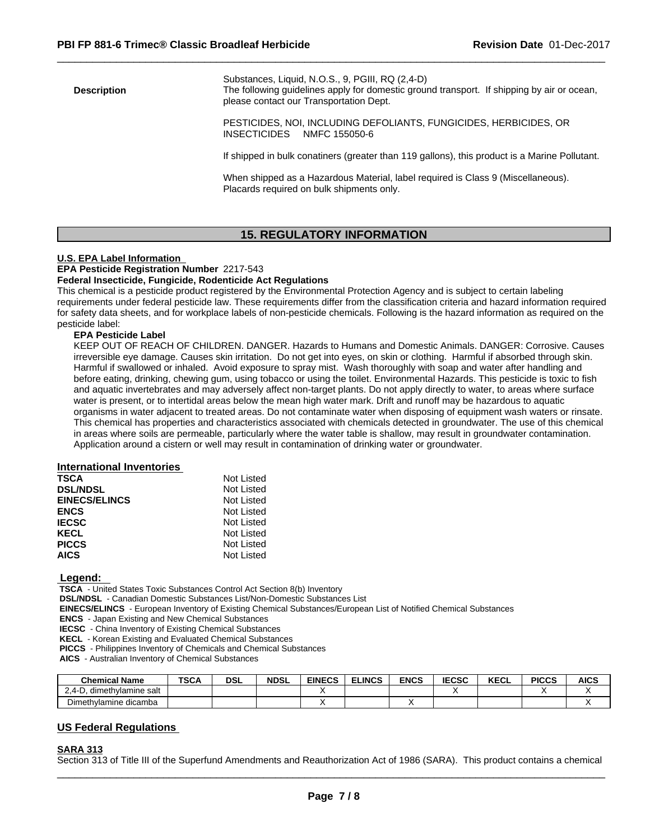Substances, Liquid, N.O.S., 9, PGIII, RQ (2,4-D) **Description** The following guidelines apply for domestic ground transport. If shipping by air or ocean, please contact our Transportation Dept. PESTICIDES, NOI, INCLUDING DEFOLIANTS, FUNGICIDES, HERBICIDES, OR INSECTICIDES NMFC 155050-6 If shipped in bulk conatiners (greater than 119 gallons), this product is a Marine Pollutant.

> When shipped as a Hazardous Material, label required is Class 9 (Miscellaneous). Placards required on bulk shipments only.

# **15. REGULATORY INFORMATION**

#### **U.S. EPA Label Information**

#### **EPA Pesticide Registration Number** 2217-543

#### **Federal Insecticide, Fungicide, Rodenticide Act Regulations**

This chemical is a pesticide product registered by the Environmental Protection Agency and is subject to certain labeling requirements under federal pesticide law. These requirements differ from the classification criteria and hazard information required for safety data sheets, and for workplace labels of non-pesticide chemicals. Following is the hazard information as required on the pesticide label:

### **EPA Pesticide Label**

KEEP OUT OF REACH OF CHILDREN. DANGER. Hazards to Humans and Domestic Animals. DANGER: Corrosive. Causes irreversible eye damage. Causes skin irritation. Do not get into eyes, on skin or clothing. Harmful if absorbed through skin. Harmful if swallowed or inhaled. Avoid exposure to spray mist. Wash thoroughly with soap and water after handling and before eating, drinking, chewing gum, using tobacco or using the toilet. Environmental Hazards. This pesticide is toxic to fish and aquatic invertebrates and may adversely affect non-target plants. Do not apply directly to water, to areas where surface water is present, or to intertidal areas below the mean high water mark. Drift and runoff may be hazardous to aquatic organisms in water adjacent to treated areas. Do not contaminate water when disposing of equipment wash waters or rinsate. This chemical has properties and characteristics associated with chemicals detected in groundwater. The use of this chemical in areas where soils are permeable, particularly where the water table is shallow, may result in groundwater contamination. Application around a cistern or well may result in contamination of drinking water or groundwater.

#### **International Inventories**

| <b>TSCA</b>          | Not Listed |  |
|----------------------|------------|--|
| <b>DSL/NDSL</b>      | Not Listed |  |
| <b>EINECS/ELINCS</b> | Not Listed |  |
| <b>ENCS</b>          | Not Listed |  |
| <b>IECSC</b>         | Not Listed |  |
| <b>KECL</b>          | Not Listed |  |
| <b>PICCS</b>         | Not Listed |  |
| <b>AICS</b>          | Not Listed |  |
|                      |            |  |

#### **Legend:**

 **TSCA** - United States Toxic Substances Control Act Section 8(b) Inventory

 **DSL/NDSL** - Canadian Domestic Substances List/Non-Domestic Substances List

 **EINECS/ELINCS** - European Inventory of Existing Chemical Substances/European List of Notified Chemical Substances

 **ENCS** - Japan Existing and New Chemical Substances

 **IECSC** - China Inventory of Existing Chemical Substances

 **KECL** - Korean Existing and Evaluated Chemical Substances

 **PICCS** - Philippines Inventory of Chemicals and Chemical Substances

 **AICS** - Australian Inventory of Chemical Substances

| <b>Chemical Name</b>                   | <b>TSCA</b> | <b>DSL</b> | <b>NDSL</b> | <b>EINECS</b> | <b>ELINCS</b> | <b>ENCS</b> | <b>IECCO</b><br>IECSC | <b>KECL</b> | <b>PICCS</b> | <b>AICS</b> |
|----------------------------------------|-------------|------------|-------------|---------------|---------------|-------------|-----------------------|-------------|--------------|-------------|
| -<br>dimethylamine salt<br>$-0.4$<br>◡ |             |            |             |               |               |             |                       |             |              |             |
| Dimethylamine dicamba                  |             |            |             |               |               |             |                       |             |              |             |

#### **US Federal Regulations**

#### **SARA 313**

Section 313 of Title III of the Superfund Amendments and Reauthorization Act of 1986 (SARA). This product contains a chemical